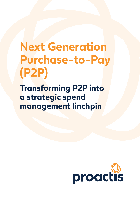# **Next Generation Purchase-to-Pay (P2P)**

**Transforming P2P into a strategic spend management linchpin**

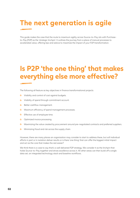### **The next generation is agile**

This guide makes the case that the route to maximum agility across Source-to-Pay sits with Purchaseto-Pay (P2P) as the 'strategic linchpin'. It outlines the journey from a place of manual processes to accelerated value, offering tips and advice to maximize the impact of your P2P transformation.

### **Is P2P 'the one thing' that makes everything else more effective?**

The following all feature as key objectives in finance transformational projects:

- Visibility and control of cost against budgets.  $\circledcirc$
- Visibility of spend through commitment account.  $\circledcirc$
- Better cashflow management.  $\circledcirc$
- Maximum efficiency of spend management processes.  $\circledcirc$
- **Effective use of employee time.**
- **O** Optimized invoice processing.
- $\circ$ Maximizing the value created by procurement around pre-negotiated contracts and preferred suppliers.
- Minimizing fraud and risk across the supply chain.  $\circledcirc$

However, there are many places an organization may consider to start to address these, but will individual efforts in part or in isolation deliver results or is there 'one thing' that can offer the biggest initial impact and act as the core that makes the rest easier?

We think there is a case to say that's a well delivered P2P strategy. We consider it as the linchpin that holds Source-to-Pay together and drives excellence across it. All other areas can then build off a single data set, an integrated technology stack and baseline workflows.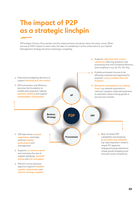### **The impact of P2P as a strategic linchpin**

P2P bridges Finance, Procurement and the wider business and drives value into every corner. When we look at P2P's impact on each area, the idea of considering it as the center piece to your Spend Management strategy become increasingly compelling:



**C** Efficient invoice payment approval supports **healthier** supplier relationships and attracts strategic suppliers.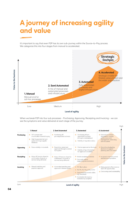### **A journey of increasing agility and value**

It's important to say that even P2P has its own sub-journey within the Source-to-Pay process. We categorize this into four stages from manual to accelerated.



When we break P2P into four sub processes - Purchasing, Approving, Receipting and Invoicing - we can see the symptoms and value delivered at each stage of the journey:

|            | 1. Manual                                                                                                                                    | 2. Semi Automated                                                                          | 3. Automated                                                                                                                                              | 4. Accelerated                                                                                                        |
|------------|----------------------------------------------------------------------------------------------------------------------------------------------|--------------------------------------------------------------------------------------------|-----------------------------------------------------------------------------------------------------------------------------------------------------------|-----------------------------------------------------------------------------------------------------------------------|
| Purchasing | Off-contract and<br>$\bullet$<br>uncontrolled maverick buvina<br>High fragmented tail-end<br>$\circ$<br>spend and large supplier<br>database | <b>Q</b> Purchasing off<br>pre-negotiated contracts                                        | Purchasing off pre-<br>٥<br>negotiated contracts<br>(through a marketplace)<br>Visibility of requisition status<br>Ô                                      | <b>O</b> Data drives contract<br>negotiation; supplier<br>performance and<br>management; minimizing<br>tail-end spend |
| Approving  | Done verbally or via emails<br>$\bullet$                                                                                                     | Requisition raised and<br>approved through a central<br>P2P system                         | Can be approved on the move<br>٥<br>$\bullet$<br>Visibility of key information<br>for approval is available                                               | <b>O</b> Data drives budgeting<br>decisions to support<br>planning and cost control                                   |
| Receipting | None. AP have to chase for<br>O<br>confirmation of goods or<br>services being delivered                                                      | <b>O</b> None AP have to chase for<br>confirmation of goods or<br>services being delivered | Mobile receipting available<br>o<br>Q<br>Can easily attach<br>supporting documentation                                                                    | <b>O</b> Increase in internal controls<br>and business operations                                                     |
| Invoicing  | Manual matching and<br>O<br>payment approval                                                                                                 | Automated matching and<br>approval in finance system                                       | • PO-flip in place<br>No-Po, No-Pay policy active<br>Associated documents visible.<br>e.g. timesheets<br>Automated discrepancy<br>resolution by exception | <b>C</b> Early payment offers revenue<br>and CSR opportunities<br><b>O</b> Cost savings and sustainability            |

Low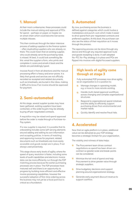#### **1. Manual**

At their most cumbersome, these processes could include the manual raising and approval of POs for spend – perhaps on paper, or maybe via an email chain which could become lost across multiple inboxes.

This then continues through the labor-intensive process of adding suppliers to the finance system – often duplicating suppliers who are already on there. This could mean that an existing supplier, who could already serve the purchasing need, is missed. At best, it could look something like this: email the supplier a form, who prints and completes it, scans and emails it back and the details are painstakingly typed.

Invoices flood in from all directions and the manual processing effort is heavy and error-prone. It is likely that goods and services are not officially recorded as receipted and related documents, such as timesheets, are buried in the inbox, making it difficult to know if an invoice should be approved for payment.

#### **2. Semi-automated**

At this stage, several supplier quotes may have been gathered, existing suppliers have been contacted, or the wider buyers may be already buying off pre-negotiated contracts.

A requisition may be raised and spend approved before the order is made through a Purchase-to-Pay system.

If a new supplier is required, it is possible that its onboarding includes some self-serving elements around adding and editing its own information and accepting policies. In terms of matching and approving invoices for payment, related documents such as timesheets are more easily accessible and goods receipt are in place, if not always used proactively.

This stage shows early levels of agility where the speed of query resolution is faster, including some levels of audit capabilities and electronic invoice data can be more efficiently run through the P2P matching process because the earlier purchasing processes are in place. The P2P processes have matured well and there is an opportunity to progress by building more efficient and effective invoice processing capabilities, however the successful adoption of first-time ordering across the business may not yet be a focal point but is critical as a foundation.

#### **3. Automated**

By now, purchasing across the business is defined against categories which could involve a marketplace and punch-outs which make it easier to drive spend from pre-negotiated contracts and preferred suppliers. At this level, the purchaser can also see the status of their requisition as it moves through the process.

The approving process can be done through any device and through any required approval route and goods receipting is done. A well adopted No-PO, No-Pay strategy is in place and POs are flipped into invoices with digital focussed suppliers.

#### **High levels of agility come through at stage 3**

Fully automated P2P processes now drive agility as an organization is in a position to:

- Manage changes in operating model,  $\mathbb{C}$ e.g. a move to more remote working.
- Handle multi-tiered approval workflows  $\bigcirc$ across changing and complex organizational structures.
- Respond to organizational spend initiatives and the ability to efficiently support purchasing driven from environmental and market needs.
- Quickly identify and resolve fraud risks.  $\mathbb{A}$

#### **4. Accelerated**

Now that an agile platform is in place, additional value can be delivered as your P2P strategy becomes a strategic linchpin for your organization.

The visibility and richness of data helps:

- The Procurement team drives contract negotiations as spend has been driven oncontract so greater scale and break-points can be considered.
- **C** Minimize the tail-end of spend and help Procurement to drive greater value through strategic suppliers.
- **O** Drive budgetary decisions and support planning around organizational strategy.
- **Generate early payment discount revenue to** support cashflow.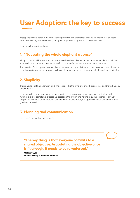## **User Adoption: the key to success**

Most people could agree that well designed processes and technology are only valuable if well adopted from the wider organization buyers, through to approvers, suppliers and back-office staff.

Here are a few considerations:

#### **1. "Not eating the whole elephant at once"**

Many successful P2P transformations we've seen have been those that took an incremental approach and improved the purchasing, approval, receipting and invoicing before moving onto the next area.

The benefits of this approach are simply that it's more manageable for the project team, and also allows for a continuous improvement approach as lessons learned can be carried forward into the next spend initiative.

#### **2. Simplicity**

This principle can't be underestimated. We consider this the simplicity of both the process and the technology that enables it.

If you break this down from a user perspective, it can be as granular as a simple user navigation with minimal 'clicks' to complete a process, i.e. accessing the system and having a guided experience through the process. Perhaps it is notifications alerting a user to take action, e.g. approve a requisition or mark their goods as received.

#### **3. Planning and communication**

It's a classic, but we had to feature it.

**"The key thing is that everyone commits to a shared objective. Articulating the objective once isn't enough, it needs to be re-enforced."**

Matthew Syed Award-winning Author and Journalist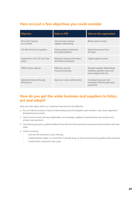#### **Here are just a few objectives you could consider**

| <b>Objective</b>                        | <b>Value to P2P</b>                                  | Value to the organization                                                                  |
|-----------------------------------------|------------------------------------------------------|--------------------------------------------------------------------------------------------|
| Drive x% of spend<br>on-contract        | Less invoices and less<br>supplier onboarding        | Better spend control                                                                       |
| Full self-service for suppliers         | Faster question resolution,<br>less administration   | Maximizing value from<br>AP team                                                           |
| Implement a "No-PO, No-Pay"<br>policy   | Reduced missing information<br>and faster processing | Tighter spend control                                                                      |
| 100% invoice capture                    | Efficiency around<br>invoice processing              | Stronger supplier relationships<br>leading to greater value and<br>lower supply chain risk |
| Generate revenue through<br>AP function | Seen as a value-add function                         | Increased revenues and<br>increased CSR through early<br>payments                          |

#### **How do you get the wider business and suppliers to listen, act and adopt?**

Here are a few ideas which our customers have found to be effective:

- <sup>1</sup> Run an internal survey to improve internal exposure and adoption and consider a top-down approach (initiated by Executives).
- **6** Hold a launch event with key stakeholders and strategic suppliers to promote the new solution and answer user questions.
- <sup>1</sup> Use listening groups to gather feedback from the front line and discuss proposed improvements and next steps.
- **O** Invest in training:
	- Use real-life scenarios in your training.
	- Create bitesize videos, no more than 2 minutes long, as well as short training guides where required.
	- Create FAQ's content for end-users.